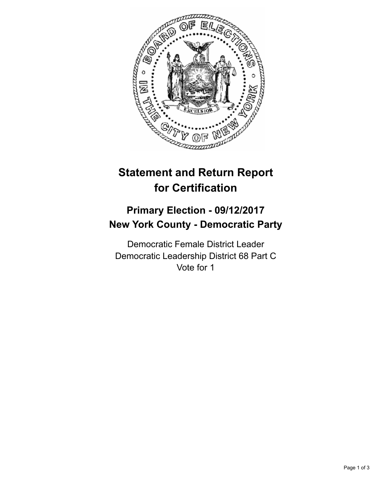

## **Statement and Return Report for Certification**

## **Primary Election - 09/12/2017 New York County - Democratic Party**

Democratic Female District Leader Democratic Leadership District 68 Part C Vote for 1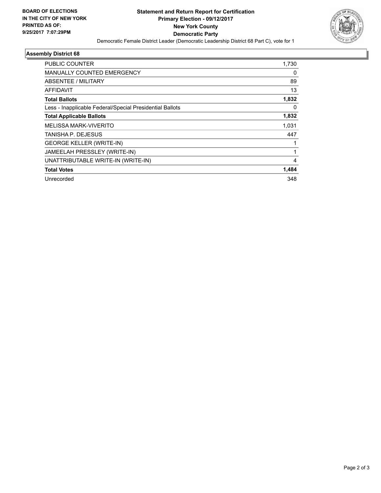

## **Assembly District 68**

| <b>PUBLIC COUNTER</b>                                    | 1,730 |
|----------------------------------------------------------|-------|
| <b>MANUALLY COUNTED EMERGENCY</b>                        | 0     |
| ABSENTEE / MILITARY                                      | 89    |
| <b>AFFIDAVIT</b>                                         | 13    |
| <b>Total Ballots</b>                                     | 1,832 |
| Less - Inapplicable Federal/Special Presidential Ballots | 0     |
| <b>Total Applicable Ballots</b>                          | 1,832 |
| MELISSA MARK-VIVERITO                                    | 1,031 |
| TANISHA P. DEJESUS                                       | 447   |
| <b>GEORGE KELLER (WRITE-IN)</b>                          |       |
| JAMEELAH PRESSLEY (WRITE-IN)                             | 1     |
| UNATTRIBUTABLE WRITE-IN (WRITE-IN)                       | 4     |
| <b>Total Votes</b>                                       | 1,484 |
| Unrecorded                                               | 348   |